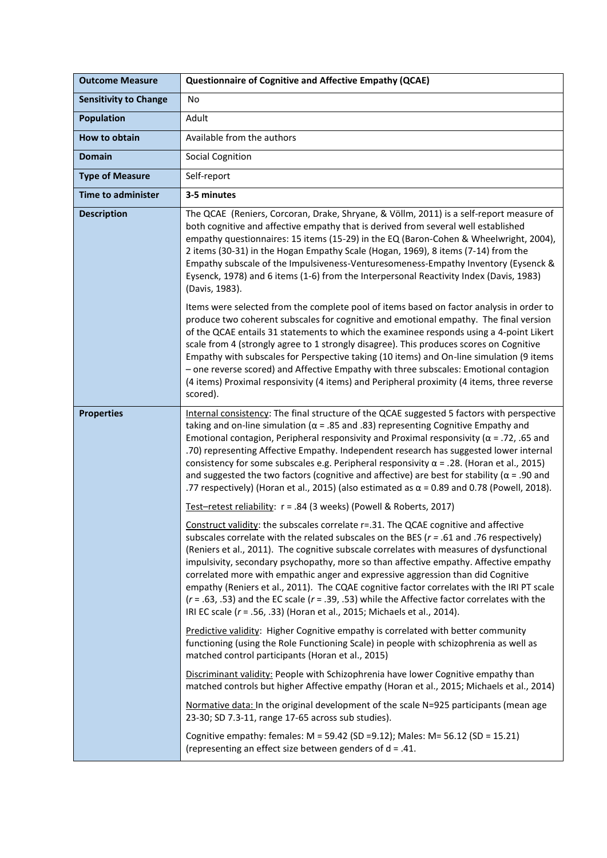| <b>Outcome Measure</b>       | <b>Questionnaire of Cognitive and Affective Empathy (QCAE)</b>                                                                                                                                                                                                                                                                                                                                                                                                                                                                                                                                                                                                                                                                             |
|------------------------------|--------------------------------------------------------------------------------------------------------------------------------------------------------------------------------------------------------------------------------------------------------------------------------------------------------------------------------------------------------------------------------------------------------------------------------------------------------------------------------------------------------------------------------------------------------------------------------------------------------------------------------------------------------------------------------------------------------------------------------------------|
| <b>Sensitivity to Change</b> | No                                                                                                                                                                                                                                                                                                                                                                                                                                                                                                                                                                                                                                                                                                                                         |
| <b>Population</b>            | Adult                                                                                                                                                                                                                                                                                                                                                                                                                                                                                                                                                                                                                                                                                                                                      |
| How to obtain                | Available from the authors                                                                                                                                                                                                                                                                                                                                                                                                                                                                                                                                                                                                                                                                                                                 |
| <b>Domain</b>                | <b>Social Cognition</b>                                                                                                                                                                                                                                                                                                                                                                                                                                                                                                                                                                                                                                                                                                                    |
| <b>Type of Measure</b>       | Self-report                                                                                                                                                                                                                                                                                                                                                                                                                                                                                                                                                                                                                                                                                                                                |
| <b>Time to administer</b>    | 3-5 minutes                                                                                                                                                                                                                                                                                                                                                                                                                                                                                                                                                                                                                                                                                                                                |
| <b>Description</b>           | The QCAE (Reniers, Corcoran, Drake, Shryane, & Völlm, 2011) is a self-report measure of<br>both cognitive and affective empathy that is derived from several well established<br>empathy questionnaires: 15 items (15-29) in the EQ (Baron-Cohen & Wheelwright, 2004),<br>2 items (30-31) in the Hogan Empathy Scale (Hogan, 1969), 8 items (7-14) from the<br>Empathy subscale of the Impulsiveness-Venturesomeness-Empathy Inventory (Eysenck &<br>Eysenck, 1978) and 6 items (1-6) from the Interpersonal Reactivity Index (Davis, 1983)<br>(Davis, 1983).                                                                                                                                                                              |
|                              | Items were selected from the complete pool of items based on factor analysis in order to<br>produce two coherent subscales for cognitive and emotional empathy. The final version<br>of the QCAE entails 31 statements to which the examinee responds using a 4-point Likert<br>scale from 4 (strongly agree to 1 strongly disagree). This produces scores on Cognitive<br>Empathy with subscales for Perspective taking (10 items) and On-line simulation (9 items<br>- one reverse scored) and Affective Empathy with three subscales: Emotional contagion<br>(4 items) Proximal responsivity (4 items) and Peripheral proximity (4 items, three reverse<br>scored).                                                                     |
| <b>Properties</b>            | Internal consistency: The final structure of the QCAE suggested 5 factors with perspective<br>taking and on-line simulation ( $\alpha$ = .85 and .83) representing Cognitive Empathy and<br>Emotional contagion, Peripheral responsivity and Proximal responsivity ( $\alpha$ = .72, .65 and<br>.70) representing Affective Empathy. Independent research has suggested lower internal<br>consistency for some subscales e.g. Peripheral responsivity $\alpha$ = .28. (Horan et al., 2015)<br>and suggested the two factors (cognitive and affective) are best for stability ( $\alpha$ = .90 and<br>.77 respectively) (Horan et al., 2015) (also estimated as $\alpha$ = 0.89 and 0.78 (Powell, 2018).                                    |
|                              | Test-retest reliability: r = .84 (3 weeks) (Powell & Roberts, 2017)                                                                                                                                                                                                                                                                                                                                                                                                                                                                                                                                                                                                                                                                        |
|                              | Construct validity: the subscales correlate r=.31. The QCAE cognitive and affective<br>subscales correlate with the related subscales on the BES ( $r = .61$ and .76 respectively)<br>(Reniers et al., 2011). The cognitive subscale correlates with measures of dysfunctional<br>impulsivity, secondary psychopathy, more so than affective empathy. Affective empathy<br>correlated more with empathic anger and expressive aggression than did Cognitive<br>empathy (Reniers et al., 2011). The CQAE cognitive factor correlates with the IRI PT scale<br>$(r = .63, .53)$ and the EC scale $(r = .39, .53)$ while the Affective factor correlates with the<br>IRI EC scale (r = .56, .33) (Horan et al., 2015; Michaels et al., 2014). |
|                              | Predictive validity: Higher Cognitive empathy is correlated with better community<br>functioning (using the Role Functioning Scale) in people with schizophrenia as well as<br>matched control participants (Horan et al., 2015)                                                                                                                                                                                                                                                                                                                                                                                                                                                                                                           |
|                              | Discriminant validity: People with Schizophrenia have lower Cognitive empathy than<br>matched controls but higher Affective empathy (Horan et al., 2015; Michaels et al., 2014)                                                                                                                                                                                                                                                                                                                                                                                                                                                                                                                                                            |
|                              | Normative data: In the original development of the scale N=925 participants (mean age<br>23-30; SD 7.3-11, range 17-65 across sub studies).                                                                                                                                                                                                                                                                                                                                                                                                                                                                                                                                                                                                |
|                              | Cognitive empathy: females: M = 59.42 (SD = 9.12); Males: M = 56.12 (SD = 15.21)<br>(representing an effect size between genders of $d = .41$ .                                                                                                                                                                                                                                                                                                                                                                                                                                                                                                                                                                                            |